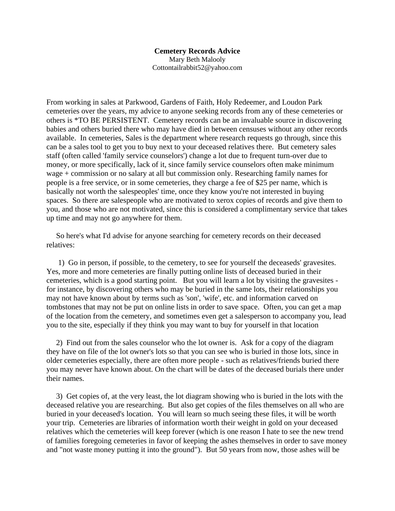## **Cemetery Records Advice** Mary Beth Malooly

Cottontailrabbit52@yahoo.com

From working in sales at Parkwood, Gardens of Faith, Holy Redeemer, and Loudon Park cemeteries over the years, my advice to anyone seeking records from any of these cemeteries or others is \*TO BE PERSISTENT. Cemetery records can be an invaluable source in discovering babies and others buried there who may have died in between censuses without any other records available. In cemeteries, Sales is the department where research requests go through, since this can be a sales tool to get you to buy next to your deceased relatives there. But cemetery sales staff (often called 'family service counselors') change a lot due to frequent turn-over due to money, or more specifically, lack of it, since family service counselors often make minimum wage + commission or no salary at all but commission only. Researching family names for people is a free service, or in some cemeteries, they charge a fee of \$25 per name, which is basically not worth the salespeoples' time, once they know you're not interested in buying spaces. So there are salespeople who are motivated to xerox copies of records and give them to you, and those who are not motivated, since this is considered a complimentary service that takes up time and may not go anywhere for them.

So here's what I'd advise for anyone searching for cemetery records on their deceased relatives:

1) Go in person, if possible, to the cemetery, to see for yourself the deceaseds' gravesites. Yes, more and more cemeteries are finally putting online lists of deceased buried in their cemeteries, which is a good starting point. But you will learn a lot by visiting the gravesites for instance, by discovering others who may be buried in the same lots, their relationships you may not have known about by terms such as 'son', 'wife', etc. and information carved on tombstones that may not be put on online lists in order to save space. Often, you can get a map of the location from the cemetery, and sometimes even get a salesperson to accompany you, lead you to the site, especially if they think you may want to buy for yourself in that location

2) Find out from the sales counselor who the lot owner is. Ask for a copy of the diagram they have on file of the lot owner's lots so that you can see who is buried in those lots, since in older cemeteries especially, there are often more people - such as relatives/friends buried there you may never have known about. On the chart will be dates of the deceased burials there under their names.

3) Get copies of, at the very least, the lot diagram showing who is buried in the lots with the deceased relative you are researching. But also get copies of the files themselves on all who are buried in your deceased's location. You will learn so much seeing these files, it will be worth your trip. Cemeteries are libraries of information worth their weight in gold on your deceased relatives which the cemeteries will keep forever (which is one reason I hate to see the new trend of families foregoing cemeteries in favor of keeping the ashes themselves in order to save money and "not waste money putting it into the ground"). But 50 years from now, those ashes will be